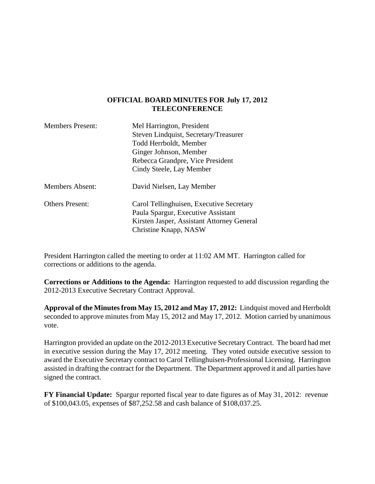## **OFFICIAL BOARD MINUTES FOR July 17, 2012 TELECONFERENCE**

| <b>Members Present:</b> | Mel Harrington, President                  |
|-------------------------|--------------------------------------------|
|                         | Steven Lindquist, Secretary/Treasurer      |
|                         | Todd Herrboldt, Member                     |
|                         | Ginger Johnson, Member                     |
|                         | Rebecca Grandpre, Vice President           |
|                         | Cindy Steele, Lay Member                   |
| <b>Members Absent:</b>  | David Nielsen, Lay Member                  |
| <b>Others Present:</b>  | Carol Tellinghuisen, Executive Secretary   |
|                         | Paula Spargur, Executive Assistant         |
|                         | Kirsten Jasper, Assistant Attorney General |
|                         | Christine Knapp, NASW                      |

President Harrington called the meeting to order at 11:02 AM MT. Harrington called for corrections or additions to the agenda.

**Corrections or Additions to the Agenda:** Harrington requested to add discussion regarding the 2012-2013 Executive Secretary Contract Approval.

**Approval of the Minutes from May 15, 2012 and May 17, 2012:** Lindquist moved and Herrboldt seconded to approve minutes from May 15, 2012 and May 17, 2012. Motion carried by unanimous vote.

Harrington provided an update on the 2012-2013 Executive Secretary Contract. The board had met in executive session during the May 17, 2012 meeting. They voted outside executive session to award the Executive Secretary contract to Carol Tellinghuisen-Professional Licensing. Harrington assisted in drafting the contract for the Department. The Department approved it and all parties have signed the contract.

**FY Financial Update:** Spargur reported fiscal year to date figures as of May 31, 2012: revenue of \$100,043.05, expenses of \$87,252.58 and cash balance of \$108,037.25.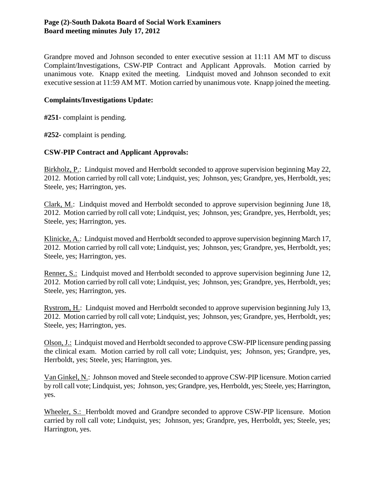Grandpre moved and Johnson seconded to enter executive session at 11:11 AM MT to discuss Complaint/Investigations, CSW-PIP Contract and Applicant Approvals. Motion carried by unanimous vote. Knapp exited the meeting. Lindquist moved and Johnson seconded to exit executive session at 11:59 AM MT. Motion carried by unanimous vote. Knapp joined the meeting.

## **Complaints/Investigations Update:**

**#251-** complaint is pending.

**#252-** complaint is pending.

## **CSW-PIP Contract and Applicant Approvals:**

Birkholz, P.: Lindquist moved and Herrboldt seconded to approve supervision beginning May 22, 2012. Motion carried by roll call vote; Lindquist, yes; Johnson, yes; Grandpre, yes, Herrboldt, yes; Steele, yes; Harrington, yes.

Clark, M.: Lindquist moved and Herrboldt seconded to approve supervision beginning June 18, 2012. Motion carried by roll call vote; Lindquist, yes; Johnson, yes; Grandpre, yes, Herrboldt, yes; Steele, yes; Harrington, yes.

Klinicke, A.: Lindquist moved and Herrboldt seconded to approve supervision beginning March 17, 2012. Motion carried by roll call vote; Lindquist, yes; Johnson, yes; Grandpre, yes, Herrboldt, yes; Steele, yes; Harrington, yes.

Renner, S.: Lindquist moved and Herrboldt seconded to approve supervision beginning June 12, 2012. Motion carried by roll call vote; Lindquist, yes; Johnson, yes; Grandpre, yes, Herrboldt, yes; Steele, yes; Harrington, yes.

Rystrom, H.: Lindquist moved and Herrboldt seconded to approve supervision beginning July 13, 2012. Motion carried by roll call vote; Lindquist, yes; Johnson, yes; Grandpre, yes, Herrboldt, yes; Steele, yes; Harrington, yes.

Olson, J.: Lindquist moved and Herrboldt seconded to approve CSW-PIP licensure pending passing the clinical exam. Motion carried by roll call vote; Lindquist, yes; Johnson, yes; Grandpre, yes, Herrboldt, yes; Steele, yes; Harrington, yes.

Van Ginkel, N.: Johnson moved and Steele seconded to approve CSW-PIP licensure. Motion carried by roll call vote; Lindquist, yes; Johnson, yes; Grandpre, yes, Herrboldt, yes; Steele, yes; Harrington, yes.

Wheeler, S.: Herrboldt moved and Grandpre seconded to approve CSW-PIP licensure. Motion carried by roll call vote; Lindquist, yes; Johnson, yes; Grandpre, yes, Herrboldt, yes; Steele, yes; Harrington, yes.